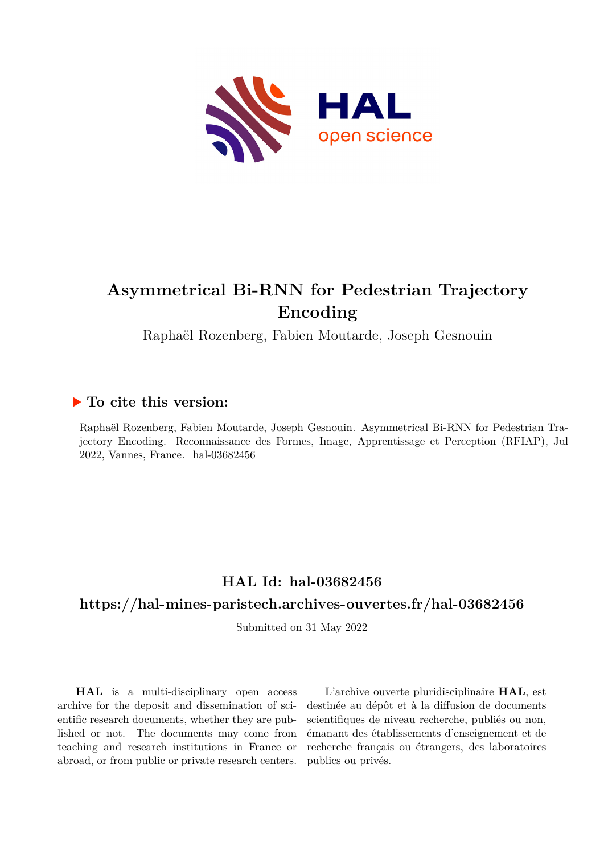

# **Asymmetrical Bi-RNN for Pedestrian Trajectory Encoding**

Raphaël Rozenberg, Fabien Moutarde, Joseph Gesnouin

# **To cite this version:**

Raphaël Rozenberg, Fabien Moutarde, Joseph Gesnouin. Asymmetrical Bi-RNN for Pedestrian Trajectory Encoding. Reconnaissance des Formes, Image, Apprentissage et Perception (RFIAP), Jul 2022, Vannes, France. hal-03682456

# **HAL Id: hal-03682456**

# **<https://hal-mines-paristech.archives-ouvertes.fr/hal-03682456>**

Submitted on 31 May 2022

**HAL** is a multi-disciplinary open access archive for the deposit and dissemination of scientific research documents, whether they are published or not. The documents may come from teaching and research institutions in France or abroad, or from public or private research centers.

L'archive ouverte pluridisciplinaire **HAL**, est destinée au dépôt et à la diffusion de documents scientifiques de niveau recherche, publiés ou non, émanant des établissements d'enseignement et de recherche français ou étrangers, des laboratoires publics ou privés.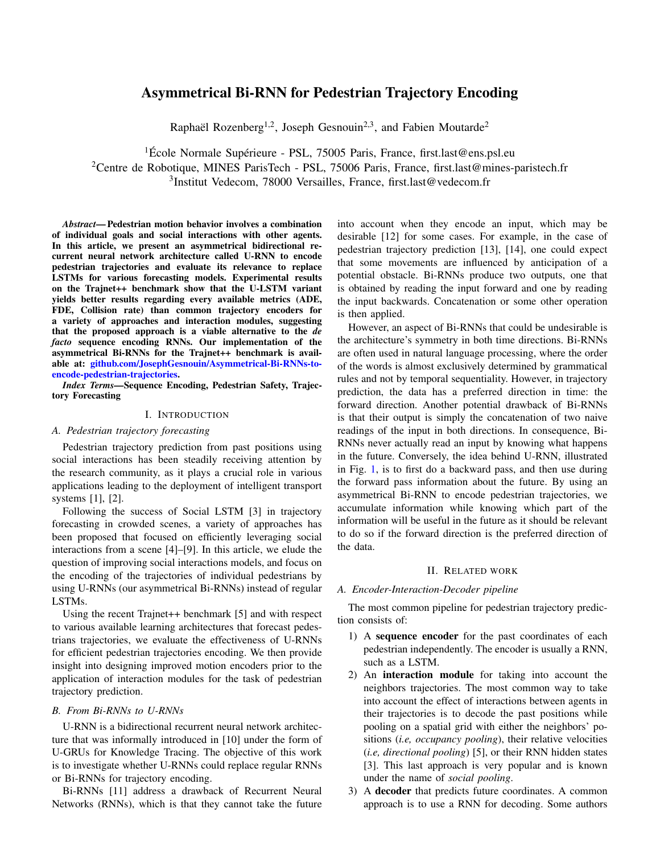# Asymmetrical Bi-RNN for Pedestrian Trajectory Encoding

Raphaël Rozenberg<sup>1,2</sup>, Joseph Gesnouin<sup>2,3</sup>, and Fabien Moutarde<sup>2</sup>

<sup>1</sup>École Normale Supérieure - PSL, 75005 Paris, France, first.last@ens.psl.eu <sup>2</sup>Centre de Robotique, MINES ParisTech - PSL, 75006 Paris, France, first.last@mines-paristech.fr

3 Institut Vedecom, 78000 Versailles, France, first.last@vedecom.fr

*Abstract*— Pedestrian motion behavior involves a combination of individual goals and social interactions with other agents. In this article, we present an asymmetrical bidirectional recurrent neural network architecture called U-RNN to encode pedestrian trajectories and evaluate its relevance to replace LSTMs for various forecasting models. Experimental results on the Trajnet++ benchmark show that the U-LSTM variant yields better results regarding every available metrics (ADE, FDE, Collision rate) than common trajectory encoders for a variety of approaches and interaction modules, suggesting that the proposed approach is a viable alternative to the *de facto* sequence encoding RNNs. Our implementation of the asymmetrical Bi-RNNs for the Trajnet++ benchmark is available at: [github.com/JosephGesnouin/Asymmetrical-Bi-RNNs-to](http://github.com/JosephGesnouin/Asymmetrical-Bi-RNNs-to-encode-pedestrian-trajectories)[encode-pedestrian-trajectories.](http://github.com/JosephGesnouin/Asymmetrical-Bi-RNNs-to-encode-pedestrian-trajectories)

*Index Terms—*Sequence Encoding, Pedestrian Safety, Trajectory Forecasting

## I. INTRODUCTION

### *A. Pedestrian trajectory forecasting*

Pedestrian trajectory prediction from past positions using social interactions has been steadily receiving attention by the research community, as it plays a crucial role in various applications leading to the deployment of intelligent transport systems [1], [2].

Following the success of Social LSTM [3] in trajectory forecasting in crowded scenes, a variety of approaches has been proposed that focused on efficiently leveraging social interactions from a scene [4]–[9]. In this article, we elude the question of improving social interactions models, and focus on the encoding of the trajectories of individual pedestrians by using U-RNNs (our asymmetrical Bi-RNNs) instead of regular LSTMs.

Using the recent Trajnet++ benchmark [5] and with respect to various available learning architectures that forecast pedestrians trajectories, we evaluate the effectiveness of U-RNNs for efficient pedestrian trajectories encoding. We then provide insight into designing improved motion encoders prior to the application of interaction modules for the task of pedestrian trajectory prediction.

### *B. From Bi-RNNs to U-RNNs*

U-RNN is a bidirectional recurrent neural network architecture that was informally introduced in [10] under the form of U-GRUs for Knowledge Tracing. The objective of this work is to investigate whether U-RNNs could replace regular RNNs or Bi-RNNs for trajectory encoding.

Bi-RNNs [11] address a drawback of Recurrent Neural Networks (RNNs), which is that they cannot take the future into account when they encode an input, which may be desirable [12] for some cases. For example, in the case of pedestrian trajectory prediction [13], [14], one could expect that some movements are influenced by anticipation of a potential obstacle. Bi-RNNs produce two outputs, one that is obtained by reading the input forward and one by reading the input backwards. Concatenation or some other operation is then applied.

However, an aspect of Bi-RNNs that could be undesirable is the architecture's symmetry in both time directions. Bi-RNNs are often used in natural language processing, where the order of the words is almost exclusively determined by grammatical rules and not by temporal sequentiality. However, in trajectory prediction, the data has a preferred direction in time: the forward direction. Another potential drawback of Bi-RNNs is that their output is simply the concatenation of two naive readings of the input in both directions. In consequence, Bi-RNNs never actually read an input by knowing what happens in the future. Conversely, the idea behind U-RNN, illustrated in Fig. 1, is to first do a backward pass, and then use during the forward pass information about the future. By using an asymmetrical Bi-RNN to encode pedestrian trajectories, we accumulate information while knowing which part of the information will be useful in the future as it should be relevant to do so if the forward direction is the preferred direction of the data.

## II. RELATED WORK

## *A. Encoder-Interaction-Decoder pipeline*

The most common pipeline for pedestrian trajectory prediction consists of:

- 1) A sequence encoder for the past coordinates of each pedestrian independently. The encoder is usually a RNN, such as a LSTM.
- 2) An interaction module for taking into account the neighbors trajectories. The most common way to take into account the effect of interactions between agents in their trajectories is to decode the past positions while pooling on a spatial grid with either the neighbors' positions (*i.e, occupancy pooling*), their relative velocities (*i.e, directional pooling*) [5], or their RNN hidden states [3]. This last approach is very popular and is known under the name of *social pooling*.
- 3) A decoder that predicts future coordinates. A common approach is to use a RNN for decoding. Some authors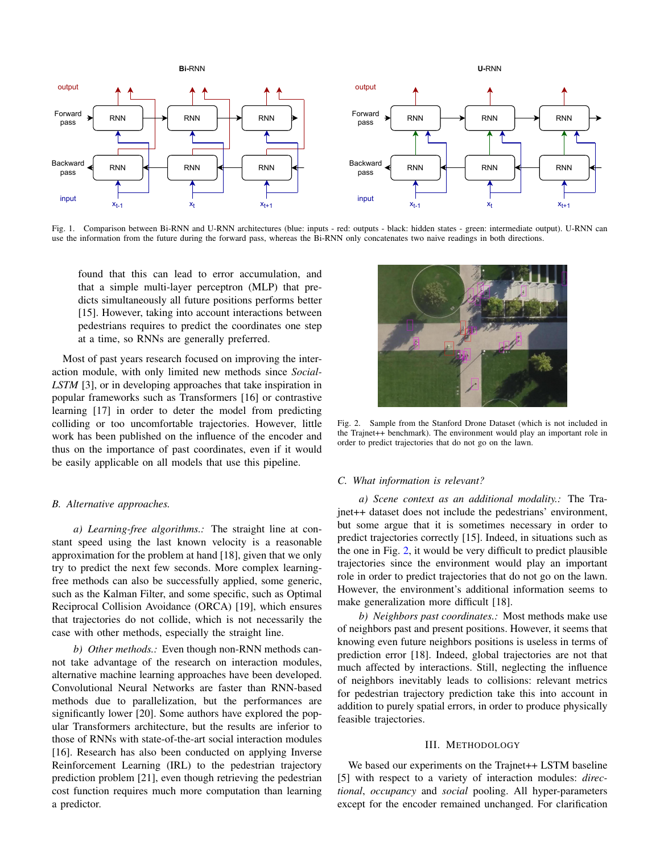

Fig. 1. Comparison between Bi-RNN and U-RNN architectures (blue: inputs - red: outputs - black: hidden states - green: intermediate output). U-RNN can use the information from the future during the forward pass, whereas the Bi-RNN only concatenates two naive readings in both directions.

found that this can lead to error accumulation, and that a simple multi-layer perceptron (MLP) that predicts simultaneously all future positions performs better [15]. However, taking into account interactions between pedestrians requires to predict the coordinates one step at a time, so RNNs are generally preferred.

Most of past years research focused on improving the interaction module, with only limited new methods since *Social-LSTM* [3], or in developing approaches that take inspiration in popular frameworks such as Transformers [16] or contrastive learning [17] in order to deter the model from predicting colliding or too uncomfortable trajectories. However, little work has been published on the influence of the encoder and thus on the importance of past coordinates, even if it would be easily applicable on all models that use this pipeline.

# *B. Alternative approaches.*

*a) Learning-free algorithms.:* The straight line at constant speed using the last known velocity is a reasonable approximation for the problem at hand [18], given that we only try to predict the next few seconds. More complex learningfree methods can also be successfully applied, some generic, such as the Kalman Filter, and some specific, such as Optimal Reciprocal Collision Avoidance (ORCA) [19], which ensures that trajectories do not collide, which is not necessarily the case with other methods, especially the straight line.

*b) Other methods.:* Even though non-RNN methods cannot take advantage of the research on interaction modules, alternative machine learning approaches have been developed. Convolutional Neural Networks are faster than RNN-based methods due to parallelization, but the performances are significantly lower [20]. Some authors have explored the popular Transformers architecture, but the results are inferior to those of RNNs with state-of-the-art social interaction modules [16]. Research has also been conducted on applying Inverse Reinforcement Learning (IRL) to the pedestrian trajectory prediction problem [21], even though retrieving the pedestrian cost function requires much more computation than learning a predictor.



Fig. 2. Sample from the Stanford Drone Dataset (which is not included in the Trajnet++ benchmark). The environment would play an important role in order to predict trajectories that do not go on the lawn.

#### *C. What information is relevant?*

*a) Scene context as an additional modality.:* The Trajnet++ dataset does not include the pedestrians' environment, but some argue that it is sometimes necessary in order to predict trajectories correctly [15]. Indeed, in situations such as the one in Fig. 2, it would be very difficult to predict plausible trajectories since the environment would play an important role in order to predict trajectories that do not go on the lawn. However, the environment's additional information seems to make generalization more difficult [18].

*b) Neighbors past coordinates.:* Most methods make use of neighbors past and present positions. However, it seems that knowing even future neighbors positions is useless in terms of prediction error [18]. Indeed, global trajectories are not that much affected by interactions. Still, neglecting the influence of neighbors inevitably leads to collisions: relevant metrics for pedestrian trajectory prediction take this into account in addition to purely spatial errors, in order to produce physically feasible trajectories.

## III. METHODOLOGY

We based our experiments on the Trajnet++ LSTM baseline [5] with respect to a variety of interaction modules: *directional*, *occupancy* and *social* pooling. All hyper-parameters except for the encoder remained unchanged. For clarification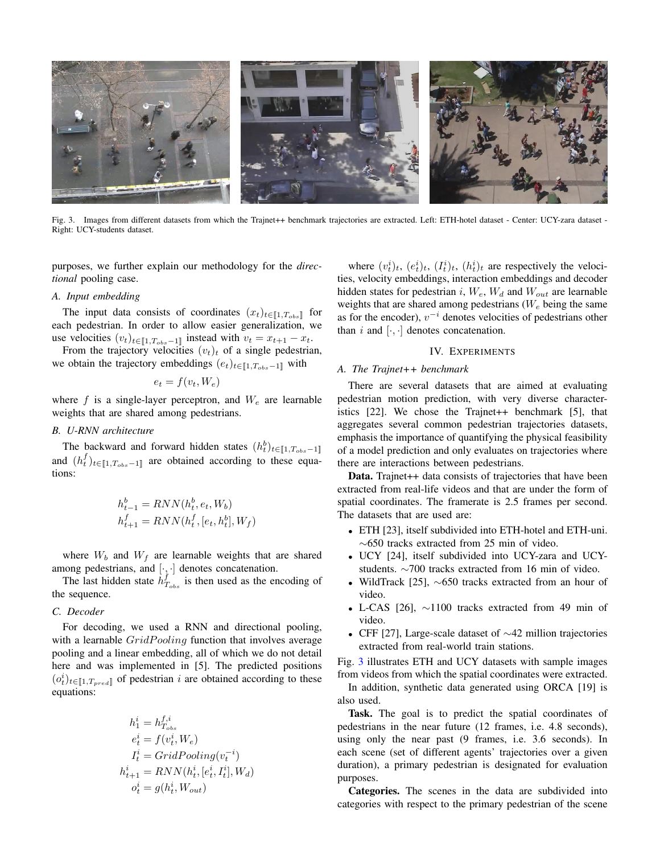

Fig. 3. Images from different datasets from which the Trajnet++ benchmark trajectories are extracted. Left: ETH-hotel dataset - Center: UCY-zara dataset - Right: UCY-students dataset.

purposes, we further explain our methodology for the *directional* pooling case.

# *A. Input embedding*

The input data consists of coordinates  $(x_t)_{t \in [1, T_{obs}]}$  for each pedestrian. In order to allow easier generalization, we use velocities  $(v_t)_{t \in [1, T_{obs} - 1]}$  instead with  $v_t = x_{t+1} - x_t$ .

From the trajectory velocities  $(v_t)_t$  of a single pedestrian, we obtain the trajectory embeddings  $(e_t)_{t \in [1, T_{obs}-1]}$  with

$$
e_t = f(v_t, W_e)
$$

where f is a single-layer perceptron, and  $W_e$  are learnable weights that are shared among pedestrians.

### *B. U-RNN architecture*

The backward and forward hidden states  $(h_t^b)_{t \in [1, T_{obs} - 1]}$ and  $(h_t^f)_{t \in [1, T_{obs} - 1]}$  are obtained according to these equations:

$$
\begin{aligned} h^b_{t-1} &= RNN(h^b_t, e_t, W_b) \\ h^f_{t+1} &= RNN(h^f_t, [e_t, h^b_t], W_f) \end{aligned}
$$

where  $W_b$  and  $W_f$  are learnable weights that are shared among pedestrians, and  $[\cdot, \cdot]$  denotes concatenation.

The last hidden state  $\hat{h}_{T_{obs}}^f$  is then used as the encoding of the sequence.

# *C. Decoder*

For decoding, we used a RNN and directional pooling, with a learnable  $GridPooling$  function that involves average pooling and a linear embedding, all of which we do not detail here and was implemented in [5]. The predicted positions  $(o_t^i)_{t \in [1, T_{pred}]}$  of pedestrian i are obtained according to these equations:

$$
h_1^i = h_{T_{obs}}^{f,i}
$$
  
\n
$$
e_t^i = f(v_t^i, W_e)
$$
  
\n
$$
I_t^i = GridPooling(v_t^{-i})
$$
  
\n
$$
h_{t+1}^i = RNN(h_t^i, [e_t^i, I_t^i], W_d)
$$
  
\n
$$
o_t^i = g(h_t^i, W_{out})
$$

where  $(v_t^i)_t$ ,  $(e_t^i)_t$ ,  $(I_t^i)_t$ ,  $(h_t^i)_t$  are respectively the velocities, velocity embeddings, interaction embeddings and decoder hidden states for pedestrian i,  $W_e$ ,  $W_d$  and  $W_{out}$  are learnable weights that are shared among pedestrians  $(W_e$  being the same as for the encoder),  $v^{-i}$  denotes velocities of pedestrians other than i and  $[\cdot, \cdot]$  denotes concatenation.

# IV. EXPERIMENTS

#### *A. The Trajnet++ benchmark*

There are several datasets that are aimed at evaluating pedestrian motion prediction, with very diverse characteristics [22]. We chose the Trajnet++ benchmark [5], that aggregates several common pedestrian trajectories datasets, emphasis the importance of quantifying the physical feasibility of a model prediction and only evaluates on trajectories where there are interactions between pedestrians.

Data. Trajnet++ data consists of trajectories that have been extracted from real-life videos and that are under the form of spatial coordinates. The framerate is 2.5 frames per second. The datasets that are used are:

- ETH [23], itself subdivided into ETH-hotel and ETH-uni. ∼650 tracks extracted from 25 min of video.
- UCY [24], itself subdivided into UCY-zara and UCYstudents. ∼700 tracks extracted from 16 min of video.
- WildTrack [25], ∼650 tracks extracted from an hour of video.
- L-CAS [26],  $\sim$ 1100 tracks extracted from 49 min of video.
- CFF [27], Large-scale dataset of  $\sim$ 42 million trajectories extracted from real-world train stations.

Fig. 3 illustrates ETH and UCY datasets with sample images from videos from which the spatial coordinates were extracted.

In addition, synthetic data generated using ORCA [19] is also used.

Task. The goal is to predict the spatial coordinates of pedestrians in the near future (12 frames, i.e. 4.8 seconds), using only the near past (9 frames, i.e. 3.6 seconds). In each scene (set of different agents' trajectories over a given duration), a primary pedestrian is designated for evaluation purposes.

Categories. The scenes in the data are subdivided into categories with respect to the primary pedestrian of the scene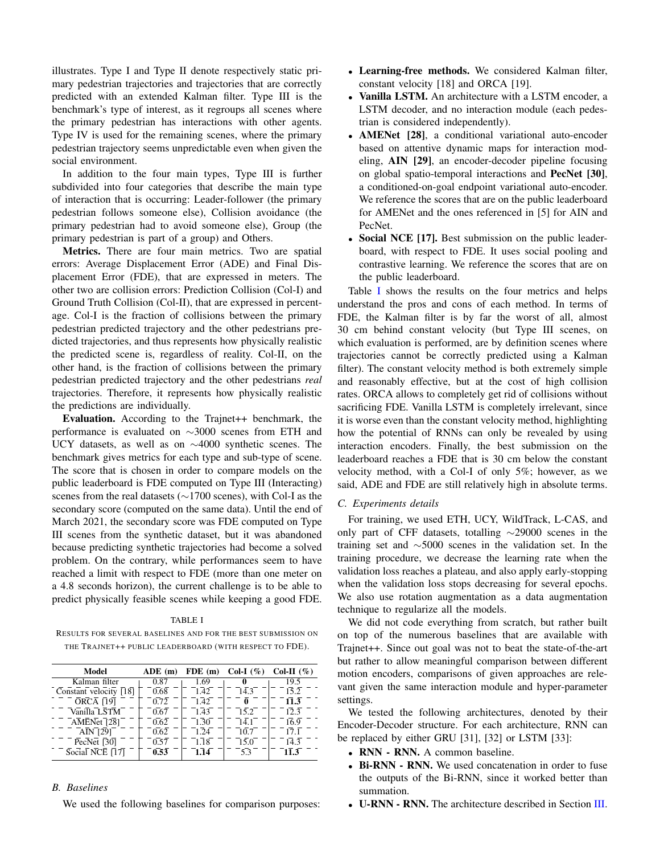illustrates. Type I and Type II denote respectively static primary pedestrian trajectories and trajectories that are correctly predicted with an extended Kalman filter. Type III is the benchmark's type of interest, as it regroups all scenes where the primary pedestrian has interactions with other agents. Type IV is used for the remaining scenes, where the primary pedestrian trajectory seems unpredictable even when given the social environment.

In addition to the four main types, Type III is further subdivided into four categories that describe the main type of interaction that is occurring: Leader-follower (the primary pedestrian follows someone else), Collision avoidance (the primary pedestrian had to avoid someone else), Group (the primary pedestrian is part of a group) and Others.

Metrics. There are four main metrics. Two are spatial errors: Average Displacement Error (ADE) and Final Displacement Error (FDE), that are expressed in meters. The other two are collision errors: Prediction Collision (Col-I) and Ground Truth Collision (Col-II), that are expressed in percentage. Col-I is the fraction of collisions between the primary pedestrian predicted trajectory and the other pedestrians predicted trajectories, and thus represents how physically realistic the predicted scene is, regardless of reality. Col-II, on the other hand, is the fraction of collisions between the primary pedestrian predicted trajectory and the other pedestrians *real* trajectories. Therefore, it represents how physically realistic the predictions are individually.

Evaluation. According to the Trajnet++ benchmark, the performance is evaluated on ∼3000 scenes from ETH and UCY datasets, as well as on ∼4000 synthetic scenes. The benchmark gives metrics for each type and sub-type of scene. The score that is chosen in order to compare models on the public leaderboard is FDE computed on Type III (Interacting) scenes from the real datasets (∼1700 scenes), with Col-I as the secondary score (computed on the same data). Until the end of March 2021, the secondary score was FDE computed on Type III scenes from the synthetic dataset, but it was abandoned because predicting synthetic trajectories had become a solved problem. On the contrary, while performances seem to have reached a limit with respect to FDE (more than one meter on a 4.8 seconds horizon), the current challenge is to be able to predict physically feasible scenes while keeping a good FDE.

#### TABLE I

RESULTS FOR SEVERAL BASELINES AND FOR THE BEST SUBMISSION ON THE TRAJNET++ PUBLIC LEADERBOARD (WITH RESPECT TO FDE).

| Model                                                          | ADE(m) | FDE(m) | Col-I $(\%)$ | Col-II $(\% )$ |
|----------------------------------------------------------------|--------|--------|--------------|----------------|
| Kalman filter                                                  | 0.87   | 1.69   |              | 19.5           |
| Constant velocity [18]                                         | 0.68   | 1.42   | 14.3         | 15.2           |
| <b>ORCA</b> [19]                                               | 0.72   | 1.42   | 0            | 11.3           |
| Vanilla LSTM                                                   | 0.67   | 1.43   | 15.2         | 12.3           |
| AMENet [28]                                                    | 0.62   | 1.30   | 14.1         | 16.9           |
| AIN [29]                                                       | 0.62   | 1.24   | 10.7         | 17.1           |
| PecNet [30]                                                    | 0.57   | 1.18   | 15.0         | 14.3           |
| $Socia\overline{I}$ NCE $\overline{1}\overline{1}\overline{7}$ | 0.53   | 1.14   | 53           | 11.3           |

# *B. Baselines*

We used the following baselines for comparison purposes:

- Learning-free methods. We considered Kalman filter, constant velocity [18] and ORCA [19].
- Vanilla LSTM. An architecture with a LSTM encoder, a LSTM decoder, and no interaction module (each pedestrian is considered independently).
- AMENet [28], a conditional variational auto-encoder based on attentive dynamic maps for interaction modeling, AIN [29], an encoder-decoder pipeline focusing on global spatio-temporal interactions and PecNet [30], a conditioned-on-goal endpoint variational auto-encoder. We reference the scores that are on the public leaderboard for AMENet and the ones referenced in [5] for AIN and PecNet.
- Social NCE [17]. Best submission on the public leaderboard, with respect to FDE. It uses social pooling and contrastive learning. We reference the scores that are on the public leaderboard.

Table I shows the results on the four metrics and helps understand the pros and cons of each method. In terms of FDE, the Kalman filter is by far the worst of all, almost 30 cm behind constant velocity (but Type III scenes, on which evaluation is performed, are by definition scenes where trajectories cannot be correctly predicted using a Kalman filter). The constant velocity method is both extremely simple and reasonably effective, but at the cost of high collision rates. ORCA allows to completely get rid of collisions without sacrificing FDE. Vanilla LSTM is completely irrelevant, since it is worse even than the constant velocity method, highlighting how the potential of RNNs can only be revealed by using interaction encoders. Finally, the best submission on the leaderboard reaches a FDE that is 30 cm below the constant velocity method, with a Col-I of only 5%; however, as we said, ADE and FDE are still relatively high in absolute terms.

# *C. Experiments details*

For training, we used ETH, UCY, WildTrack, L-CAS, and only part of CFF datasets, totalling ∼29000 scenes in the training set and ∼5000 scenes in the validation set. In the training procedure, we decrease the learning rate when the validation loss reaches a plateau, and also apply early-stopping when the validation loss stops decreasing for several epochs. We also use rotation augmentation as a data augmentation technique to regularize all the models.

We did not code everything from scratch, but rather built on top of the numerous baselines that are available with Trajnet++. Since out goal was not to beat the state-of-the-art but rather to allow meaningful comparison between different motion encoders, comparisons of given approaches are relevant given the same interaction module and hyper-parameter settings.

We tested the following architectures, denoted by their Encoder-Decoder structure. For each architecture, RNN can be replaced by either GRU [31], [32] or LSTM [33]:

- RNN RNN. A common baseline.
- Bi-RNN RNN. We used concatenation in order to fuse the outputs of the Bi-RNN, since it worked better than summation.
- U-RNN RNN. The architecture described in Section III.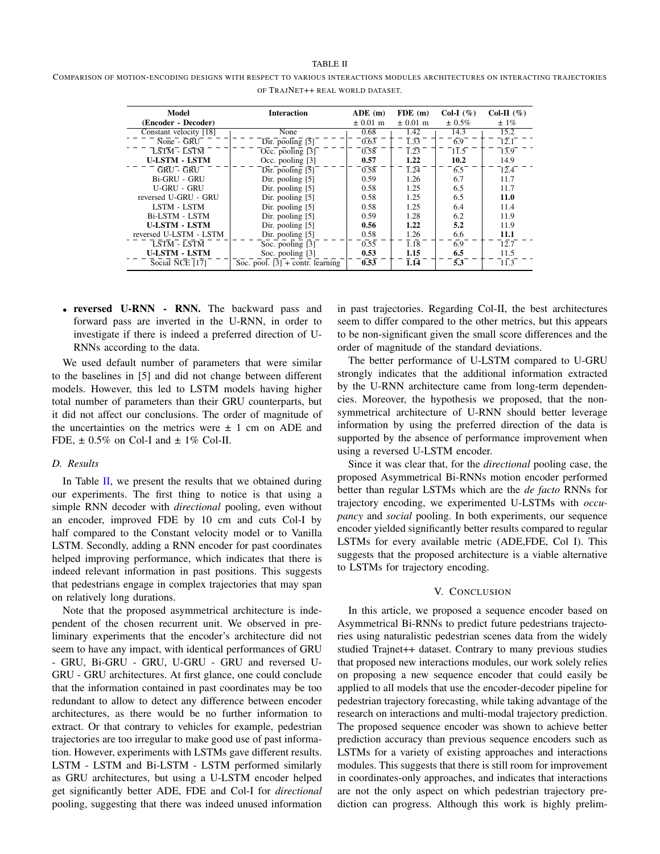#### TABLE II

COMPARISON OF MOTION-ENCODING DESIGNS WITH RESPECT TO VARIOUS INTERACTIONS MODULES ARCHITECTURES ON INTERACTING TRAJECTORIES OF TRAJNET++ REAL WORLD DATASET.

| Model                                              | <b>Interaction</b>                 | ADE(m)       | FDE(m)            | Col-I $(\%)$     | Col-II $(\% )$    |
|----------------------------------------------------|------------------------------------|--------------|-------------------|------------------|-------------------|
| (Encoder - Decoder)                                |                                    | $\pm 0.01$ m | $\pm 0.01$ m      | $\pm 0.5\%$      | $± 1\%$           |
| Constant velocity [18]                             | None                               | 0.68         | 1.42              | 14.3             | 15.2              |
| $\overline{\text{None}}$ - $\overline{\text{GRU}}$ | Dir. pooling $\overline{5}$        | 0.63         | $\overline{1.33}$ | $\overline{6.9}$ | $\overline{12.1}$ |
| <b>LSTM - LSTM</b>                                 | Occ. pooling [3]                   | 0.58         | 1.23              | 11.5             | 13.9              |
| <b>U-LSTM - LSTM</b>                               | Occ. pooling [3]                   | 0.57         | 1.22              | 10.2             | 14.9              |
| GRU - GRU                                          | $Dir.$ pooling $\overline{5}$ ]    | 0.58         | $\overline{1.24}$ | 6.5              | 12.4              |
| Bi-GRU - GRU                                       | Dir. pooling [5]                   | 0.59         | 1.26              | 6.7              | 11.7              |
| U-GRU - GRU                                        | Dir. pooling [5]                   | 0.58         | 1.25              | 6.5              | 11.7              |
| reversed U-GRU - GRU                               | Dir. pooling [5]                   | 0.58         | 1.25              | 6.5              | 11.0              |
| LSTM - LSTM                                        | Dir. pooling [5]                   | 0.58         | 1.25              | 6.4              | 11.4              |
| Bi-LSTM - LSTM                                     | Dir. pooling [5]                   | 0.59         | 1.28              | 6.2              | 11.9              |
| <b>U-LSTM - LSTM</b>                               | Dir. pooling [5]                   | 0.56         | 1.22              | 5.2              | 11.9              |
| reversed U-LSTM - LSTM                             | Dir. pooling [5]                   | 0.58         | 1.26              | 6.6              | 11.1              |
| LSTM - LSTM                                        | Soc. pooling $\overline{3}$ ]      | 0.55         | $\overline{1.18}$ | 6.9              | 12.7              |
| <b>U-LSTM - LSTM</b>                               | Soc. pooling [3]                   | 0.53         | 1.15              | 6.5              | 11.5              |
| Social NCE [17]                                    | Soc. pool. $[3]$ + contr. learning | 0.53         | 1.14              | 5.3              | 11.3              |

• reversed U-RNN - RNN. The backward pass and forward pass are inverted in the U-RNN, in order to investigate if there is indeed a preferred direction of U-RNNs according to the data.

We used default number of parameters that were similar to the baselines in [5] and did not change between different models. However, this led to LSTM models having higher total number of parameters than their GRU counterparts, but it did not affect our conclusions. The order of magnitude of the uncertainties on the metrics were  $\pm$  1 cm on ADE and FDE,  $\pm$  0.5% on Col-I and  $\pm$  1% Col-II.

# *D. Results*

In Table  $II$ , we present the results that we obtained during our experiments. The first thing to notice is that using a simple RNN decoder with *directional* pooling, even without an encoder, improved FDE by 10 cm and cuts Col-I by half compared to the Constant velocity model or to Vanilla LSTM. Secondly, adding a RNN encoder for past coordinates helped improving performance, which indicates that there is indeed relevant information in past positions. This suggests that pedestrians engage in complex trajectories that may span on relatively long durations.

Note that the proposed asymmetrical architecture is independent of the chosen recurrent unit. We observed in preliminary experiments that the encoder's architecture did not seem to have any impact, with identical performances of GRU - GRU, Bi-GRU - GRU, U-GRU - GRU and reversed U-GRU - GRU architectures. At first glance, one could conclude that the information contained in past coordinates may be too redundant to allow to detect any difference between encoder architectures, as there would be no further information to extract. Or that contrary to vehicles for example, pedestrian trajectories are too irregular to make good use of past information. However, experiments with LSTMs gave different results. LSTM - LSTM and Bi-LSTM - LSTM performed similarly as GRU architectures, but using a U-LSTM encoder helped get significantly better ADE, FDE and Col-I for *directional* pooling, suggesting that there was indeed unused information

in past trajectories. Regarding Col-II, the best architectures seem to differ compared to the other metrics, but this appears to be non-significant given the small score differences and the order of magnitude of the standard deviations.

The better performance of U-LSTM compared to U-GRU strongly indicates that the additional information extracted by the U-RNN architecture came from long-term dependencies. Moreover, the hypothesis we proposed, that the nonsymmetrical architecture of U-RNN should better leverage information by using the preferred direction of the data is supported by the absence of performance improvement when using a reversed U-LSTM encoder.

Since it was clear that, for the *directional* pooling case, the proposed Asymmetrical Bi-RNNs motion encoder performed better than regular LSTMs which are the *de facto* RNNs for trajectory encoding, we experimented U-LSTMs with *occupancy* and *social* pooling. In both experiments, our sequence encoder yielded significantly better results compared to regular LSTMs for every available metric (ADE,FDE, Col I). This suggests that the proposed architecture is a viable alternative to LSTMs for trajectory encoding.

### V. CONCLUSION

In this article, we proposed a sequence encoder based on Asymmetrical Bi-RNNs to predict future pedestrians trajectories using naturalistic pedestrian scenes data from the widely studied Trajnet++ dataset. Contrary to many previous studies that proposed new interactions modules, our work solely relies on proposing a new sequence encoder that could easily be applied to all models that use the encoder-decoder pipeline for pedestrian trajectory forecasting, while taking advantage of the research on interactions and multi-modal trajectory prediction. The proposed sequence encoder was shown to achieve better prediction accuracy than previous sequence encoders such as LSTMs for a variety of existing approaches and interactions modules. This suggests that there is still room for improvement in coordinates-only approaches, and indicates that interactions are not the only aspect on which pedestrian trajectory prediction can progress. Although this work is highly prelim